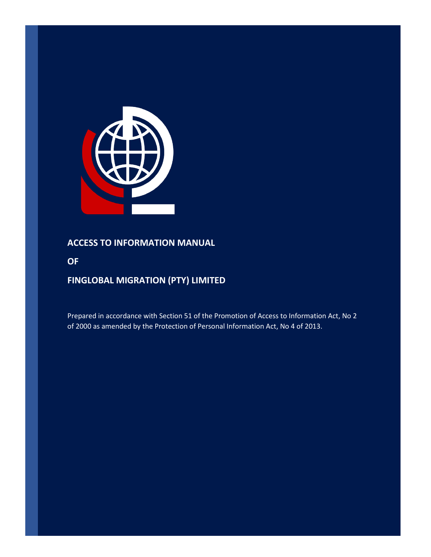

# **ACCESS TO INFORMATION MANUAL**

**OF** 

# **FINGLOBAL MIGRATION (PTY) LIMITED**

Prepared in accordance with Section 51 of the Promotion of Access to Information Act, No 2 of 2000 as amended by the Protection of Personal Information Act, No 4 of 2013.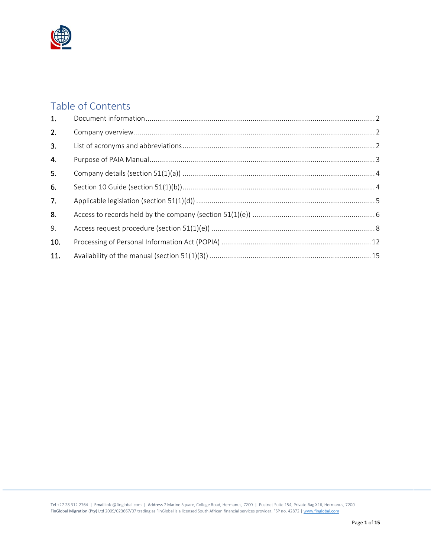

# Table of Contents

| 1.  |  |
|-----|--|
| 2.  |  |
| 3.  |  |
| 4.  |  |
| 5.  |  |
| 6.  |  |
| 7.  |  |
| 8.  |  |
| 9.  |  |
| 10. |  |
| 11. |  |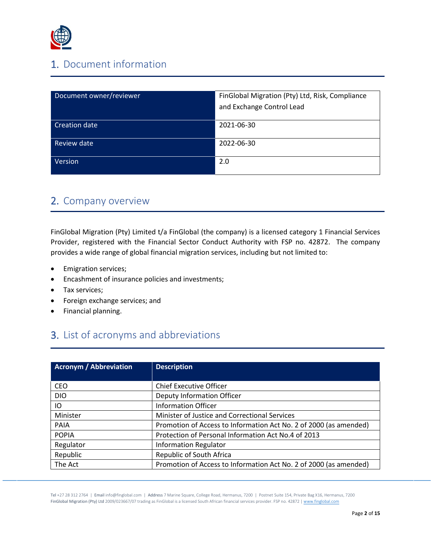

# <span id="page-2-0"></span>1. Document information

| Document owner/reviewer | FinGlobal Migration (Pty) Ltd, Risk, Compliance<br>and Exchange Control Lead |
|-------------------------|------------------------------------------------------------------------------|
| Creation date           | 2021-06-30                                                                   |
| Review date             | 2022-06-30                                                                   |
| Version                 | 2.0                                                                          |

# <span id="page-2-1"></span>2. Company overview

FinGlobal Migration (Pty) Limited t/a FinGlobal (the company) is a licensed category 1 Financial Services Provider, registered with the Financial Sector Conduct Authority with FSP no. 42872. The company provides a wide range of global financial migration services, including but not limited to:

- Emigration services;
- Encashment of insurance policies and investments;
- Tax services;
- Foreign exchange services; and
- Financial planning.

# <span id="page-2-2"></span>3. List of acronyms and abbreviations

| <b>Acronym / Abbreviation</b> | <b>Description</b>                                                |
|-------------------------------|-------------------------------------------------------------------|
| <b>CEO</b>                    | <b>Chief Executive Officer</b>                                    |
| <b>DIO</b>                    | Deputy Information Officer                                        |
| IO                            | Information Officer                                               |
| Minister                      | Minister of Justice and Correctional Services                     |
| <b>PAIA</b>                   | Promotion of Access to Information Act No. 2 of 2000 (as amended) |
| <b>POPIA</b>                  | Protection of Personal Information Act No.4 of 2013               |
| Regulator                     | <b>Information Regulator</b>                                      |
| Republic                      | Republic of South Africa                                          |
| The Act                       | Promotion of Access to Information Act No. 2 of 2000 (as amended) |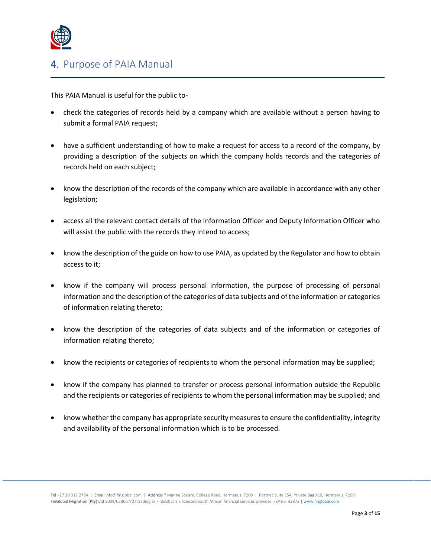

# <span id="page-3-0"></span>4. Purpose of PAIA Manual

This PAIA Manual is useful for the public to-

- check the categories of records held by a company which are available without a person having to submit a formal PAIA request;
- have a sufficient understanding of how to make a request for access to a record of the company, by providing a description of the subjects on which the company holds records and the categories of records held on each subject;
- know the description of the records of the company which are available in accordance with any other legislation;
- access all the relevant contact details of the Information Officer and Deputy Information Officer who will assist the public with the records they intend to access;
- know the description of the guide on how to use PAIA, as updated by the Regulator and how to obtain access to it;
- know if the company will process personal information, the purpose of processing of personal information and the description of the categories of data subjects and of the information or categories of information relating thereto;
- know the description of the categories of data subjects and of the information or categories of information relating thereto;
- know the recipients or categories of recipients to whom the personal information may be supplied;
- know if the company has planned to transfer or process personal information outside the Republic and the recipients or categories of recipients to whom the personal information may be supplied; and
- know whether the company has appropriate security measures to ensure the confidentiality, integrity and availability of the personal information which is to be processed.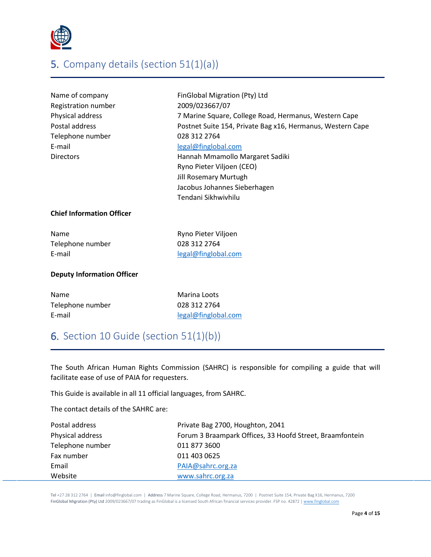

# <span id="page-4-0"></span>5. Company details (section 51(1)(a))

| Name of company     | FinGlobal Migration (Pty) Ltd                              |
|---------------------|------------------------------------------------------------|
| Registration number | 2009/023667/07                                             |
| Physical address    | 7 Marine Square, College Road, Hermanus, Western Cape      |
| Postal address      | Postnet Suite 154, Private Bag x16, Hermanus, Western Cape |
| Telephone number    | 028 312 2764                                               |
| E-mail              | legal@finglobal.com                                        |
| <b>Directors</b>    | Hannah Mmamollo Margaret Sadiki                            |
|                     | Ryno Pieter Viljoen (CEO)                                  |
|                     | <b>Jill Rosemary Murtugh</b>                               |
|                     |                                                            |

## **Chief Information Officer**

| Name             |
|------------------|
| Telephone number |
| E-mail           |

Ryno Pieter Viljoen 028 312 2764 [legal@finglobal.com](mailto:legal@finglobal.com)

Tendani Sikhwivhilu

Jacobus Johannes Sieberhagen

#### **Deputy Information Officer**

| Name             | Marina Loots        |
|------------------|---------------------|
| Telephone number | 028 312 2764        |
| E-mail           | legal@finglobal.com |

# <span id="page-4-1"></span>6. Section 10 Guide (section 51(1)(b))

The South African Human Rights Commission (SAHRC) is responsible for compiling a guide that will facilitate ease of use of PAIA for requesters.

This Guide is available in all 11 official languages, from SAHRC.

The contact details of the SAHRC are:

| Postal address   | Private Bag 2700, Houghton, 2041                         |
|------------------|----------------------------------------------------------|
| Physical address | Forum 3 Braampark Offices, 33 Hoofd Street, Braamfontein |
| Telephone number | 011 877 3600                                             |
| Fax number       | 011 403 0625                                             |
| Email            | PAIA@sahrc.org.za                                        |
| Website          | www.sahrc.org.za                                         |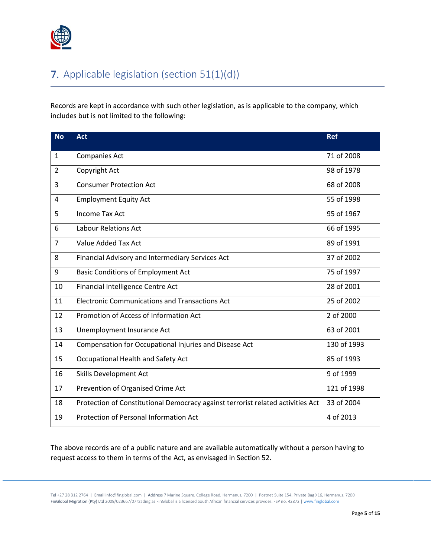

# <span id="page-5-0"></span>7. Applicable legislation (section 51(1)(d))

Records are kept in accordance with such other legislation, as is applicable to the company, which includes but is not limited to the following:

| <b>No</b>      | <b>Act</b>                                                                      | <b>Ref</b>  |
|----------------|---------------------------------------------------------------------------------|-------------|
| $\mathbf{1}$   | <b>Companies Act</b>                                                            | 71 of 2008  |
| $\overline{2}$ | Copyright Act                                                                   | 98 of 1978  |
| 3              | <b>Consumer Protection Act</b>                                                  | 68 of 2008  |
| $\overline{4}$ | <b>Employment Equity Act</b>                                                    | 55 of 1998  |
| 5              | <b>Income Tax Act</b>                                                           | 95 of 1967  |
| 6              | Labour Relations Act                                                            | 66 of 1995  |
| $\overline{7}$ | Value Added Tax Act                                                             | 89 of 1991  |
| 8              | Financial Advisory and Intermediary Services Act                                | 37 of 2002  |
| 9              | <b>Basic Conditions of Employment Act</b>                                       | 75 of 1997  |
| 10             | Financial Intelligence Centre Act                                               | 28 of 2001  |
| 11             | <b>Electronic Communications and Transactions Act</b>                           | 25 of 2002  |
| 12             | Promotion of Access of Information Act                                          | 2 of 2000   |
| 13             | Unemployment Insurance Act                                                      | 63 of 2001  |
| 14             | Compensation for Occupational Injuries and Disease Act                          | 130 of 1993 |
| 15             | Occupational Health and Safety Act                                              | 85 of 1993  |
| 16             | <b>Skills Development Act</b>                                                   | 9 of 1999   |
| 17             | Prevention of Organised Crime Act                                               | 121 of 1998 |
| 18             | Protection of Constitutional Democracy against terrorist related activities Act | 33 of 2004  |
| 19             | Protection of Personal Information Act                                          | 4 of 2013   |

The above records are of a public nature and are available automatically without a person having to request access to them in terms of the Act, as envisaged in Section 52.

Tel +27 28 312 2764 | Email info@finglobal.com | Address 7 Marine Square, College Road, Hermanus, 7200 | Postnet Suite 154, Private Bag X16, Hermanus, 7200 FinGlobal Migration (Pty) Ltd 2009/023667/07 trading as FinGlobal is a licensed South African financial services provider. FSP no. 42872 | [www.finglobal.com](http://www.finglobal.com/)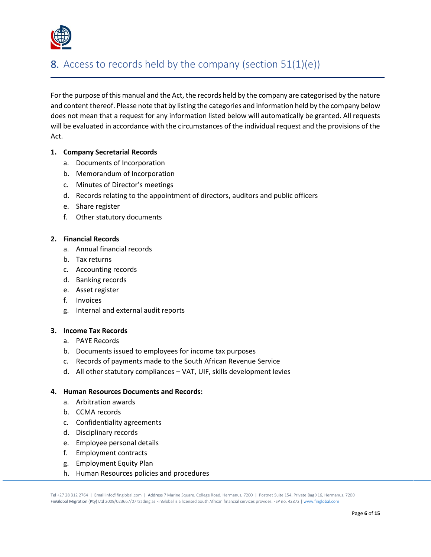

# <span id="page-6-0"></span>8. Access to records held by the company (section 51(1)(e))

For the purpose of this manual and the Act, the records held by the company are categorised by the nature and content thereof. Please note that by listing the categories and information held by the company below does not mean that a request for any information listed below will automatically be granted. All requests will be evaluated in accordance with the circumstances of the individual request and the provisions of the Act.

### **1. Company Secretarial Records**

- a. Documents of Incorporation
- b. Memorandum of Incorporation
- c. Minutes of Director's meetings
- d. Records relating to the appointment of directors, auditors and public officers
- e. Share register
- f. Other statutory documents

# **2. Financial Records**

- a. Annual financial records
- b. Tax returns
- c. Accounting records
- d. Banking records
- e. Asset register
- f. Invoices
- g. Internal and external audit reports

#### **3. Income Tax Records**

- a. PAYE Records
- b. Documents issued to employees for income tax purposes
- c. Records of payments made to the South African Revenue Service
- d. All other statutory compliances VAT, UIF, skills development levies

#### **4. Human Resources Documents and Records:**

- a. Arbitration awards
- b. CCMA records
- c. Confidentiality agreements
- d. Disciplinary records
- e. Employee personal details
- f. Employment contracts
- g. Employment Equity Plan
- h. Human Resources policies and procedures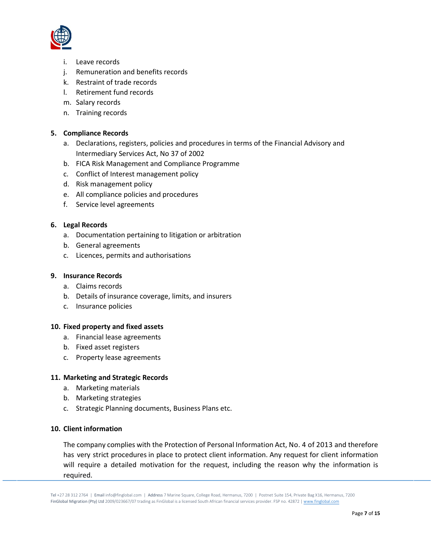

- i. Leave records
- j. Remuneration and benefits records
- k. Restraint of trade records
- l. Retirement fund records
- m. Salary records
- n. Training records

#### **5. Compliance Records**

- a. Declarations, registers, policies and procedures in terms of the Financial Advisory and Intermediary Services Act, No 37 of 2002
- b. FICA Risk Management and Compliance Programme
- c. Conflict of Interest management policy
- d. Risk management policy
- e. All compliance policies and procedures
- f. Service level agreements

#### **6. Legal Records**

- a. Documentation pertaining to litigation or arbitration
- b. General agreements
- c. Licences, permits and authorisations

## **9. Insurance Records**

- a. Claims records
- b. Details of insurance coverage, limits, and insurers
- c. Insurance policies

#### **10. Fixed property and fixed assets**

- a. Financial lease agreements
- b. Fixed asset registers
- c. Property lease agreements

#### **11. Marketing and Strategic Records**

- a. Marketing materials
- b. Marketing strategies
- c. Strategic Planning documents, Business Plans etc.

#### **10. Client information**

The company complies with the Protection of Personal Information Act, No. 4 of 2013 and therefore has very strict procedures in place to protect client information. Any request for client information will require a detailed motivation for the request, including the reason why the information is required.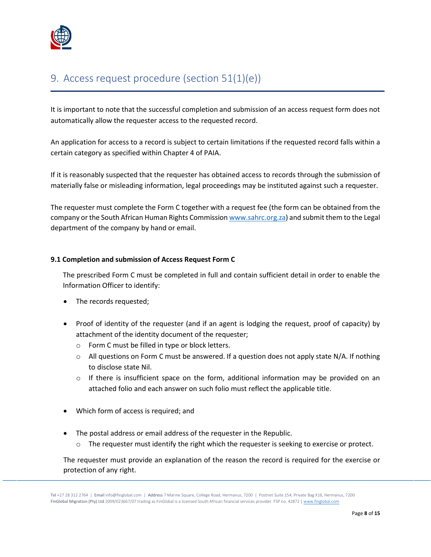

# <span id="page-8-0"></span>9. Access request procedure (section 51(1)(e))

It is important to note that the successful completion and submission of an access request form does not automatically allow the requester access to the requested record.

An application for access to a record is subject to certain limitations if the requested record falls within a certain category as specified within Chapter 4 of PAIA.

If it is reasonably suspected that the requester has obtained access to records through the submission of materially false or misleading information, legal proceedings may be instituted against such a requester.

The requester must complete the Form C together with a request fee (the form can be obtained from the company or the South African Human Rights Commissio[n www.sahrc.org.za\)](http://www.sahrc.org.za/) and submit them to the Legal department of the company by hand or email.

# **9.1 Completion and submission of Access Request Form C**

The prescribed Form C must be completed in full and contain sufficient detail in order to enable the Information Officer to identify:

- The records requested;
- Proof of identity of the requester (and if an agent is lodging the request, proof of capacity) by attachment of the identity document of the requester;
	- o Form C must be filled in type or block letters.
	- $\circ$  All questions on Form C must be answered. If a question does not apply state N/A. If nothing to disclose state Nil.
	- $\circ$  If there is insufficient space on the form, additional information may be provided on an attached folio and each answer on such folio must reflect the applicable title.
- Which form of access is required; and
- The postal address or email address of the requester in the Republic.
	- $\circ$  The requester must identify the right which the requester is seeking to exercise or protect.

The requester must provide an explanation of the reason the record is required for the exercise or protection of any right.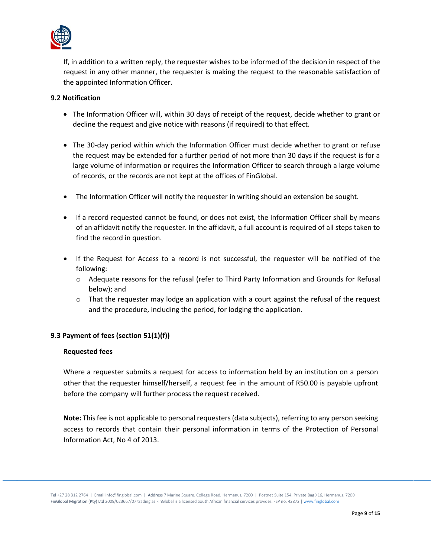

If, in addition to a written reply, the requester wishes to be informed of the decision in respect of the request in any other manner, the requester is making the request to the reasonable satisfaction of the appointed Information Officer.

### **9.2 Notification**

- The Information Officer will, within 30 days of receipt of the request, decide whether to grant or decline the request and give notice with reasons (if required) to that effect.
- The 30-day period within which the Information Officer must decide whether to grant or refuse the request may be extended for a further period of not more than 30 days if the request is for a large volume of information or requires the Information Officer to search through a large volume of records, or the records are not kept at the offices of FinGlobal.
- The Information Officer will notify the requester in writing should an extension be sought.
- If a record requested cannot be found, or does not exist, the Information Officer shall by means of an affidavit notify the requester. In the affidavit, a full account is required of all steps taken to find the record in question.
- If the Request for Access to a record is not successful, the requester will be notified of the following:
	- o Adequate reasons for the refusal (refer to Third Party Information and Grounds for Refusal below); and
	- $\circ$  That the requester may lodge an application with a court against the refusal of the request and the procedure, including the period, for lodging the application.

# **9.3 Payment of fees (section 51(1)(f))**

#### **Requested fees**

Where a requester submits a request for access to information held by an institution on a person other that the requester himself/herself, a request fee in the amount of R50.00 is payable upfront before the company will further process the request received.

**Note:** This fee is not applicable to personal requesters (data subjects), referring to any person seeking access to records that contain their personal information in terms of the Protection of Personal Information Act, No 4 of 2013.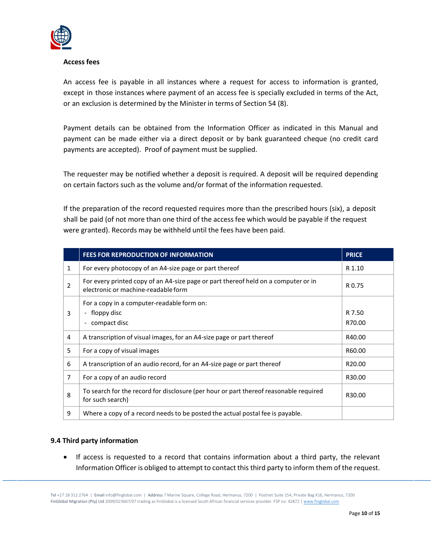

#### **Access fees**

An access fee is payable in all instances where a request for access to information is granted, except in those instances where payment of an access fee is specially excluded in terms of the Act, or an exclusion is determined by the Minister in terms of Section 54 (8).

Payment details can be obtained from the Information Officer as indicated in this Manual and payment can be made either via a direct deposit or by bank guaranteed cheque (no credit card payments are accepted). Proof of payment must be supplied.

The requester may be notified whether a deposit is required. A deposit will be required depending on certain factors such as the volume and/or format of the information requested.

If the preparation of the record requested requires more than the prescribed hours (six), a deposit shall be paid (of not more than one third of the accessfee which would be payable if the request were granted). Records may be withheld until the fees have been paid.

|                | <b>FEES FOR REPRODUCTION OF INFORMATION</b>                                                                               | <b>PRICE</b>       |
|----------------|---------------------------------------------------------------------------------------------------------------------------|--------------------|
| 1              | For every photocopy of an A4-size page or part thereof                                                                    | R 1.10             |
| $\overline{2}$ | For every printed copy of an A4-size page or part thereof held on a computer or in<br>electronic or machine-readable form | R 0.75             |
|                | For a copy in a computer-readable form on:                                                                                |                    |
| 3              | floppy disc                                                                                                               | R 7.50             |
|                | compact disc                                                                                                              | R70.00             |
| 4              | A transcription of visual images, for an A4-size page or part thereof                                                     | R40.00             |
| 5              | For a copy of visual images                                                                                               | R60.00             |
| 6              | A transcription of an audio record, for an A4-size page or part thereof                                                   | R <sub>20.00</sub> |
| 7              | For a copy of an audio record                                                                                             | R30.00             |
| 8              | To search for the record for disclosure (per hour or part thereof reasonable required<br>for such search)                 | R30.00             |
| 9              | Where a copy of a record needs to be posted the actual postal fee is payable.                                             |                    |

# **9.4 Third party information**

• If access is requested to a record that contains information about a third party, the relevant Information Officer is obliged to attempt to contact this third party to inform them of the request.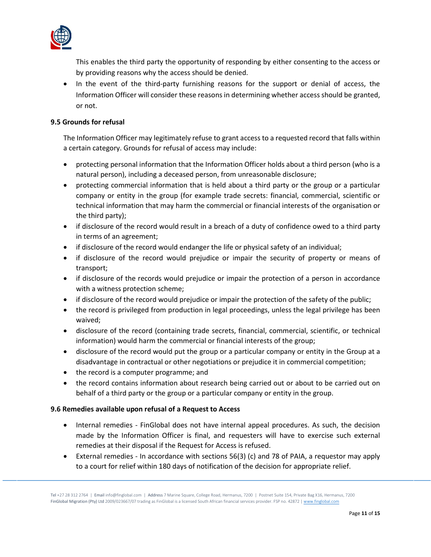

This enables the third party the opportunity of responding by either consenting to the access or by providing reasons why the access should be denied.

• In the event of the third-party furnishing reasons for the support or denial of access, the Information Officer will consider these reasons in determining whether access should be granted, or not.

# **9.5 Grounds for refusal**

The Information Officer may legitimately refuse to grant access to a requested record that falls within a certain category. Grounds for refusal of access may include:

- protecting personal information that the Information Officer holds about a third person (who is a natural person), including a deceased person, from unreasonable disclosure;
- protecting commercial information that is held about a third party or the group or a particular company or entity in the group (for example trade secrets: financial, commercial, scientific or technical information that may harm the commercial or financial interests of the organisation or the third party);
- if disclosure of the record would result in a breach of a duty of confidence owed to a third party in terms of an agreement;
- if disclosure of the record would endanger the life or physical safety of an individual;
- if disclosure of the record would prejudice or impair the security of property or means of transport;
- if disclosure of the records would prejudice or impair the protection of a person in accordance with a witness protection scheme;
- if disclosure of the record would prejudice or impair the protection of the safety of the public;
- the record is privileged from production in legal proceedings, unless the legal privilege has been waived;
- disclosure of the record (containing trade secrets, financial, commercial, scientific, or technical information) would harm the commercial or financial interests of the group;
- disclosure of the record would put the group or a particular company or entity in the Group at a disadvantage in contractual or other negotiations or prejudice it in commercial competition;
- the record is a computer programme; and
- the record contains information about research being carried out or about to be carried out on behalf of a third party or the group or a particular company or entity in the group.

# **9.6 Remedies available upon refusal of a Request to Access**

- Internal remedies FinGlobal does not have internal appeal procedures. As such, the decision made by the Information Officer is final, and requesters will have to exercise such external remedies at their disposal if the Request for Access is refused.
- External remedies In accordance with sections 56(3) (c) and 78 of PAIA, a requestor may apply to a court for relief within 180 days of notification of the decision for appropriate relief.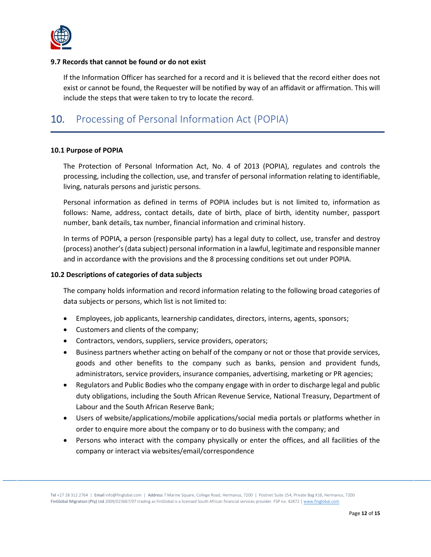

## **9.7 Records that cannot be found or do not exist**

If the Information Officer has searched for a record and it is believed that the record either does not exist or cannot be found, the Requester will be notified by way of an affidavit or affirmation. This will include the steps that were taken to try to locate the record.

# <span id="page-12-0"></span>10. Processing of Personal Information Act (POPIA)

### **10.1 Purpose of POPIA**

The Protection of Personal Information Act, No. 4 of 2013 (POPIA), regulates and controls the processing, including the collection, use, and transfer of personal information relating to identifiable, living, naturals persons and juristic persons.

Personal information as defined in terms of POPIA includes but is not limited to, information as follows: Name, address, contact details, date of birth, place of birth, identity number, passport number, bank details, tax number, financial information and criminal history.

In terms of POPIA, a person (responsible party) has a legal duty to collect, use, transfer and destroy (process) another's (data subject) personal information in a lawful, legitimate and responsible manner and in accordance with the provisions and the 8 processing conditions set out under POPIA.

### **10.2 Descriptions of categories of data subjects**

The company holds information and record information relating to the following broad categories of data subjects or persons, which list is not limited to:

- Employees, job applicants, learnership candidates, directors, interns, agents, sponsors;
- Customers and clients of the company;
- Contractors, vendors, suppliers, service providers, operators;
- Business partners whether acting on behalf of the company or not or those that provide services, goods and other benefits to the company such as banks, pension and provident funds, administrators, service providers, insurance companies, advertising, marketing or PR agencies;
- Regulators and Public Bodies who the company engage with in order to discharge legal and public duty obligations, including the South African Revenue Service, National Treasury, Department of Labour and the South African Reserve Bank;
- Users of website/applications/mobile applications/social media portals or platforms whether in order to enquire more about the company or to do business with the company; and
- Persons who interact with the company physically or enter the offices, and all facilities of the company or interact via websites/email/correspondence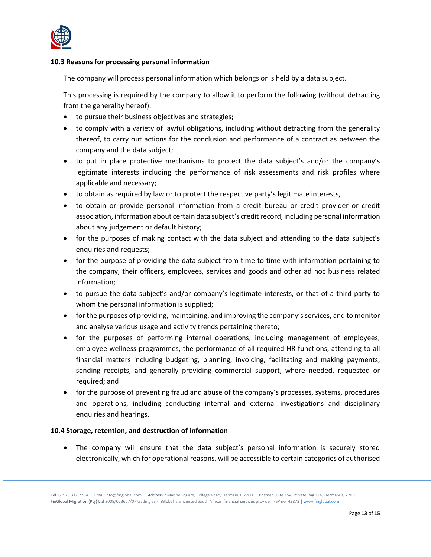

### **10.3 Reasons for processing personal information**

The company will process personal information which belongs or is held by a data subject.

This processing is required by the company to allow it to perform the following (without detracting from the generality hereof):

- to pursue their business objectives and strategies;
- to comply with a variety of lawful obligations, including without detracting from the generality thereof, to carry out actions for the conclusion and performance of a contract as between the company and the data subject;
- to put in place protective mechanisms to protect the data subject's and/or the company's legitimate interests including the performance of risk assessments and risk profiles where applicable and necessary;
- to obtain as required by law or to protect the respective party's legitimate interests,
- to obtain or provide personal information from a credit bureau or credit provider or credit association, information about certain data subject's credit record, including personal information about any judgement or default history;
- for the purposes of making contact with the data subject and attending to the data subject's enquiries and requests;
- for the purpose of providing the data subject from time to time with information pertaining to the company, their officers, employees, services and goods and other ad hoc business related information;
- to pursue the data subject's and/or company's legitimate interests, or that of a third party to whom the personal information is supplied;
- for the purposes of providing, maintaining, and improving the company's services, and to monitor and analyse various usage and activity trends pertaining thereto;
- for the purposes of performing internal operations, including management of employees, employee wellness programmes, the performance of all required HR functions, attending to all financial matters including budgeting, planning, invoicing, facilitating and making payments, sending receipts, and generally providing commercial support, where needed, requested or required; and
- for the purpose of preventing fraud and abuse of the company's processes, systems, procedures and operations, including conducting internal and external investigations and disciplinary enquiries and hearings.

# **10.4 Storage, retention, and destruction of information**

• The company will ensure that the data subject's personal information is securely stored electronically, which for operational reasons, will be accessible to certain categories of authorised

Tel +27 28 312 2764 | Email info@finglobal.com | Address 7 Marine Square, College Road, Hermanus, 7200 | Postnet Suite 154, Private Bag X16, Hermanus, 7200 FinGlobal Migration (Pty) Ltd 2009/023667/07 trading as FinGlobal is a licensed South African financial services provider. FSP no. 42872 | [www.finglobal.com](http://www.finglobal.com/)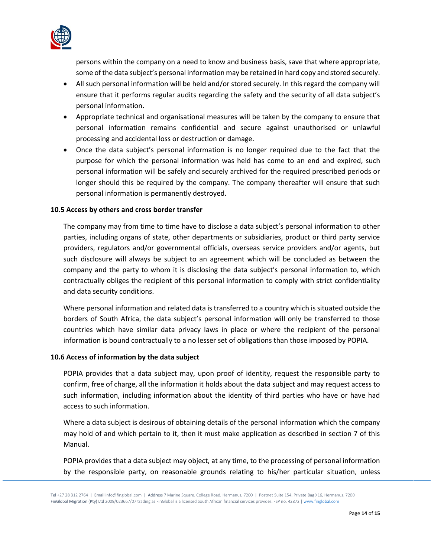

persons within the company on a need to know and business basis, save that where appropriate, some of the data subject's personal information may be retained in hard copy and stored securely.

- All such personal information will be held and/or stored securely. In this regard the company will ensure that it performs regular audits regarding the safety and the security of all data subject's personal information.
- Appropriate technical and organisational measures will be taken by the company to ensure that personal information remains confidential and secure against unauthorised or unlawful processing and accidental loss or destruction or damage.
- Once the data subject's personal information is no longer required due to the fact that the purpose for which the personal information was held has come to an end and expired, such personal information will be safely and securely archived for the required prescribed periods or longer should this be required by the company. The company thereafter will ensure that such personal information is permanently destroyed.

### **10.5 Access by others and cross border transfer**

The company may from time to time have to disclose a data subject's personal information to other parties, including organs of state, other departments or subsidiaries, product or third party service providers, regulators and/or governmental officials, overseas service providers and/or agents, but such disclosure will always be subject to an agreement which will be concluded as between the company and the party to whom it is disclosing the data subject's personal information to, which contractually obliges the recipient of this personal information to comply with strict confidentiality and data security conditions.

Where personal information and related data is transferred to a country which is situated outside the borders of South Africa, the data subject's personal information will only be transferred to those countries which have similar data privacy laws in place or where the recipient of the personal information is bound contractually to a no lesser set of obligations than those imposed by POPIA.

#### **10.6 Access of information by the data subject**

POPIA provides that a data subject may, upon proof of identity, request the responsible party to confirm, free of charge, all the information it holds about the data subject and may request access to such information, including information about the identity of third parties who have or have had access to such information.

Where a data subject is desirous of obtaining details of the personal information which the company may hold of and which pertain to it, then it must make application as described in section 7 of this Manual.

POPIA provides that a data subject may object, at any time, to the processing of personal information by the responsible party, on reasonable grounds relating to his/her particular situation, unless

Tel +27 28 312 2764 | Email info@finglobal.com | Address 7 Marine Square, College Road, Hermanus, 7200 | Postnet Suite 154, Private Bag X16, Hermanus, 7200 FinGlobal Migration (Pty) Ltd 2009/023667/07 trading as FinGlobal is a licensed South African financial services provider. FSP no. 42872 | [www.finglobal.com](http://www.finglobal.com/)